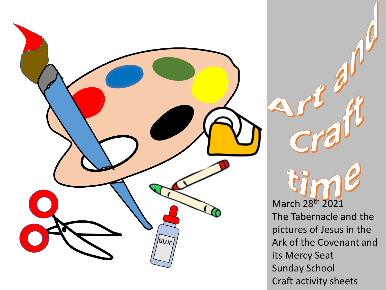

March 28th 2021 The Tabernacle and the pictures of Jesus in the Ark of the Covenant and its Mercy Seat Sunday School Craft activity sheets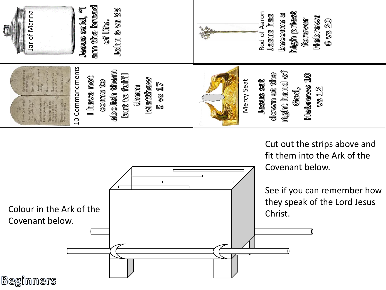

Cut out the strips above and fit them into the Ark of the Covenant below.

See if you can remember how they speak of the Lord Jesus

Covenant below.

Christ. Colour in the Ark of the

**Beginners**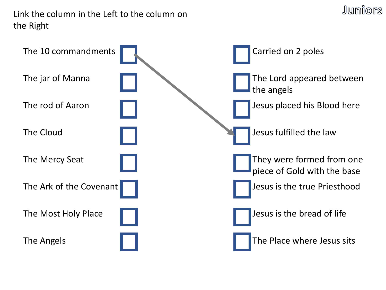Link the column in the Left to the column on the Right



Juniors